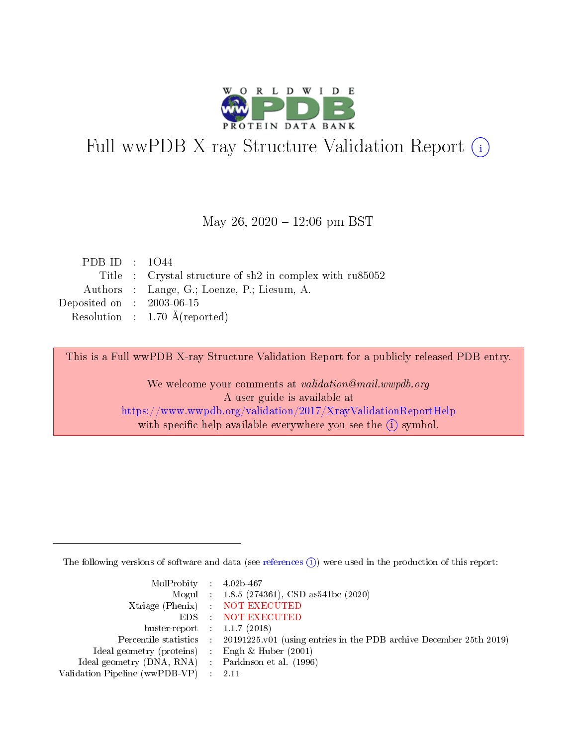

# Full wwPDB X-ray Structure Validation Report (i)

#### May 26,  $2020 - 12:06$  pm BST

| PDB ID : $1044$             |                                                            |
|-----------------------------|------------------------------------------------------------|
|                             | Title : Crystal structure of sh2 in complex with $ru85052$ |
|                             | Authors : Lange, G.; Loenze, P.; Liesum, A.                |
| Deposited on : $2003-06-15$ |                                                            |
|                             | Resolution : $1.70 \text{ Å}$ (reported)                   |

This is a Full wwPDB X-ray Structure Validation Report for a publicly released PDB entry.

We welcome your comments at validation@mail.wwpdb.org A user guide is available at <https://www.wwpdb.org/validation/2017/XrayValidationReportHelp> with specific help available everywhere you see the  $(i)$  symbol.

The following versions of software and data (see [references](https://www.wwpdb.org/validation/2017/XrayValidationReportHelp#references)  $(i)$ ) were used in the production of this report:

| MolProbity : $4.02b-467$                            |                                                                                            |
|-----------------------------------------------------|--------------------------------------------------------------------------------------------|
|                                                     | Mogul : 1.8.5 (274361), CSD as541be (2020)                                                 |
|                                                     | Xtriage (Phenix) NOT EXECUTED                                                              |
|                                                     | EDS : NOT EXECUTED                                                                         |
| buster-report : $1.1.7$ (2018)                      |                                                                                            |
|                                                     | Percentile statistics : 20191225.v01 (using entries in the PDB archive December 25th 2019) |
| Ideal geometry (proteins) :                         | Engh & Huber $(2001)$                                                                      |
| Ideal geometry (DNA, RNA) : Parkinson et al. (1996) |                                                                                            |
| Validation Pipeline (wwPDB-VP)                      | -2.11                                                                                      |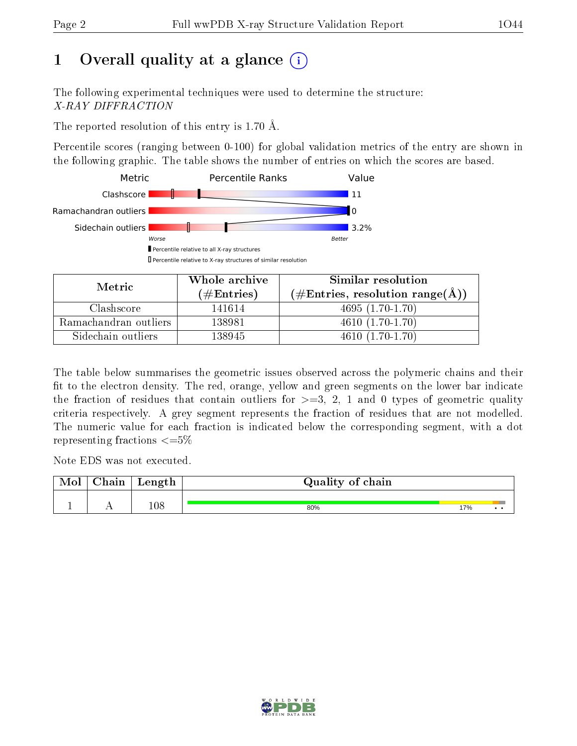## 1 [O](https://www.wwpdb.org/validation/2017/XrayValidationReportHelp#overall_quality)verall quality at a glance  $(i)$

The following experimental techniques were used to determine the structure: X-RAY DIFFRACTION

The reported resolution of this entry is 1.70 Å.

Percentile scores (ranging between 0-100) for global validation metrics of the entry are shown in the following graphic. The table shows the number of entries on which the scores are based.



| Metric                | Whole archive        | Similar resolution                                         |  |  |
|-----------------------|----------------------|------------------------------------------------------------|--|--|
|                       | $(\#\text{Entries})$ | $(\#\text{Entries}, \text{resolution range}(\text{\AA}) )$ |  |  |
| Clashscore            | 141614               | $4695(1.70-1.70)$                                          |  |  |
| Ramachandran outliers | 138981               | $4610(1.70-1.70)$                                          |  |  |
| Sidechain outliers    | 138945               | $4610(1.70-1.70)$                                          |  |  |

The table below summarises the geometric issues observed across the polymeric chains and their fit to the electron density. The red, orange, yellow and green segments on the lower bar indicate the fraction of residues that contain outliers for  $\geq=3$ , 2, 1 and 0 types of geometric quality criteria respectively. A grey segment represents the fraction of residues that are not modelled. The numeric value for each fraction is indicated below the corresponding segment, with a dot representing fractions  $\leq=5\%$ 

Note EDS was not executed.

| Mol | $\cap$ hain | $\alpha$ $\alpha$ + $\alpha$<br>reugen | Quality of chain |     |     |
|-----|-------------|----------------------------------------|------------------|-----|-----|
|     |             |                                        |                  |     |     |
|     |             | 108                                    | 80%              | 17% | . . |

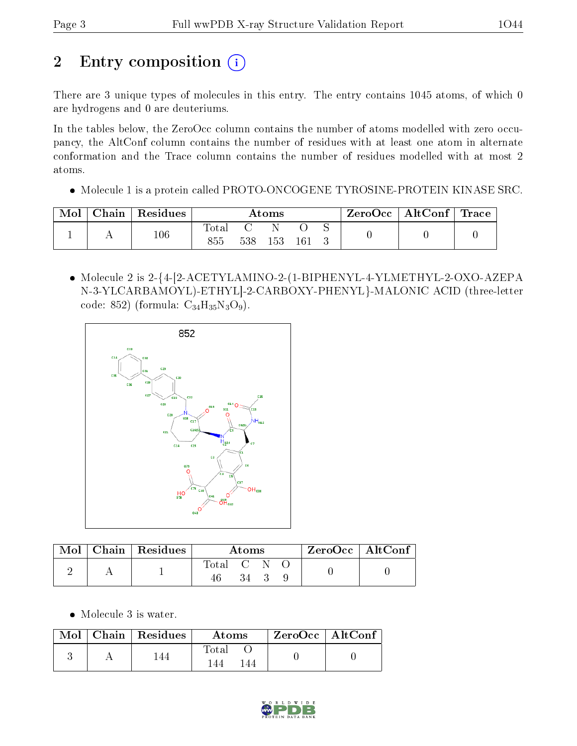# 2 Entry composition (i)

There are 3 unique types of molecules in this entry. The entry contains 1045 atoms, of which 0 are hydrogens and 0 are deuteriums.

In the tables below, the ZeroOcc column contains the number of atoms modelled with zero occupancy, the AltConf column contains the number of residues with at least one atom in alternate conformation and the Trace column contains the number of residues modelled with at most 2 atoms.

Molecule 1 is a protein called PROTO-ONCOGENE TYROSINE-PROTEIN KINASE SRC.

| Mol | Chain | $\mathop{\mathsf{Residues}}$ | $\rm{Atoms}$   |     |     | $\text{ZeroOcc} \mid \text{AltConf} \mid$ | $^\shortparallel$ Trace |  |
|-----|-------|------------------------------|----------------|-----|-----|-------------------------------------------|-------------------------|--|
|     |       | 106                          | $_{\rm Total}$ |     |     |                                           |                         |  |
|     | . .   |                              | 855            | 538 | 153 |                                           |                         |  |

 Molecule 2 is 2-{4-[2-ACETYLAMINO-2-(1-BIPHENYL-4-YLMETHYL-2-OXO-AZEPA N-3-YLCARBAMOYL)-ETHYL]-2-CARBOXY-PHENYL}-MALONIC ACID (three-letter code: 852) (formula:  $C_{34}H_{35}N_3O_9$ ).



| Mol | $\mid$ Chain $\mid$ Residues | Atoms     |    |  | $ZeroOcc$   AltConf |  |
|-----|------------------------------|-----------|----|--|---------------------|--|
|     |                              | Total C N |    |  |                     |  |
|     |                              |           | 34 |  |                     |  |

• Molecule 3 is water.

|  | $Mol$   Chain   Residues | Atoms         | $ZeroOcc \   \ AltConf$ |  |
|--|--------------------------|---------------|-------------------------|--|
|  |                          | Total<br>  44 |                         |  |

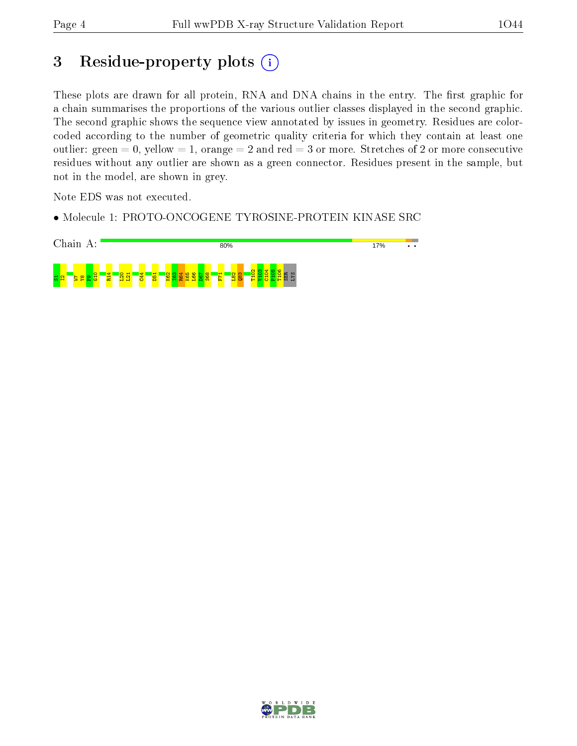## 3 Residue-property plots (i)

These plots are drawn for all protein, RNA and DNA chains in the entry. The first graphic for a chain summarises the proportions of the various outlier classes displayed in the second graphic. The second graphic shows the sequence view annotated by issues in geometry. Residues are colorcoded according to the number of geometric quality criteria for which they contain at least one outlier: green  $= 0$ , yellow  $= 1$ , orange  $= 2$  and red  $= 3$  or more. Stretches of 2 or more consecutive residues without any outlier are shown as a green connector. Residues present in the sample, but not in the model, are shown in grey.

Note EDS was not executed.

• Molecule 1: PROTO-ONCOGENE TYROSINE-PROTEIN KINASE SRC



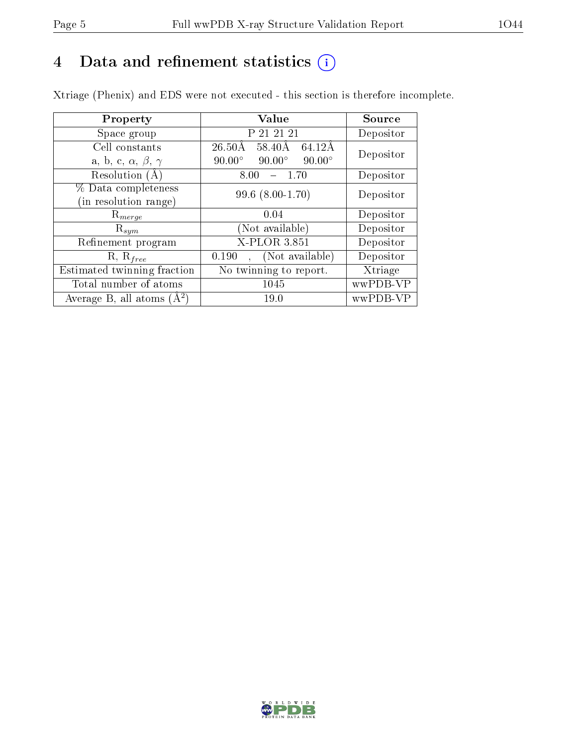## 4 Data and refinement statistics  $(i)$

Xtriage (Phenix) and EDS were not executed - this section is therefore incomplete.

| Property                               | <b>Value</b>                                    | Source    |  |
|----------------------------------------|-------------------------------------------------|-----------|--|
| Space group                            | P 21 21 21                                      | Depositor |  |
| Cell constants                         | $26.50\rm\AA$<br>58.40Å<br>64.12Å               | Depositor |  |
| a, b, c, $\alpha$ , $\beta$ , $\gamma$ | $90.00^\circ$<br>$90.00^\circ$<br>$90.00^\circ$ |           |  |
| Resolution $(A)$                       | 8.00<br>$-1.70$                                 | Depositor |  |
| % Data completeness                    | $99.6$ $(8.00-1.70)$                            | Depositor |  |
| (in resolution range)                  |                                                 |           |  |
| $\mathrm{R}_{merge}$                   | 0.04                                            | Depositor |  |
| $\mathrm{R}_{sym}$                     | (Not available)                                 | Depositor |  |
| Refinement program                     | X-PLOR 3.851                                    | Depositor |  |
| $R, R_{free}$                          | (Not available)<br>0.190                        | Depositor |  |
| Estimated twinning fraction            | $\overline{\text{No}}$ twinning to report.      | Xtriage   |  |
| Total number of atoms                  | 1045                                            | wwPDB-VP  |  |
| Average B, all atoms $(A^2)$           | 19.0                                            | wwPDB-VP  |  |

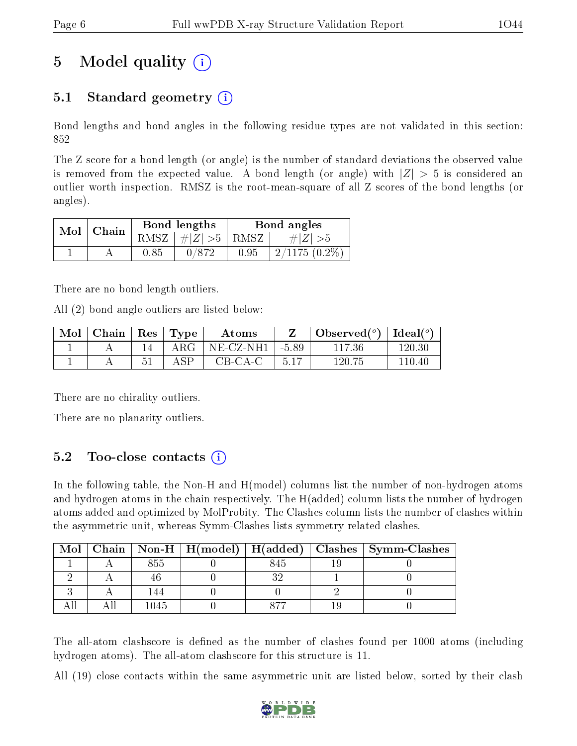## 5 Model quality  $(i)$

### 5.1 Standard geometry  $(i)$

Bond lengths and bond angles in the following residue types are not validated in this section: 852

The Z score for a bond length (or angle) is the number of standard deviations the observed value is removed from the expected value. A bond length (or angle) with  $|Z| > 5$  is considered an outlier worth inspection. RMSZ is the root-mean-square of all Z scores of the bond lengths (or angles).

| Mol | Chain |      | Bond lengths                            | Bond angles |                 |  |
|-----|-------|------|-----------------------------------------|-------------|-----------------|--|
|     |       |      | RMSZ $\mid \#  Z  > 5 \mid$ RMSZ $\mid$ |             | # Z  > 5        |  |
|     |       | 0.85 | 0/872                                   | 0.95        | $2/1175(0.2\%)$ |  |

There are no bond length outliers.

All (2) bond angle outliers are listed below:

| $\text{Mol}$ | $\perp$ Chain | $\operatorname{Res}$   $\operatorname{Type}$ | Atoms        |       | Observed $\binom{o}{0}$ | $\text{Ideal}({}^o)$ |
|--------------|---------------|----------------------------------------------|--------------|-------|-------------------------|----------------------|
|              |               | $\rm{ARG}$                                   | $NE$ -CZ-NH1 | -5.89 | 117.36                  | 120.30               |
|              |               | A SP                                         | $CB-CA-C$    | 5.17  | 120.75                  | 110.40               |

There are no chirality outliers.

There are no planarity outliers.

### 5.2 Too-close contacts  $(i)$

In the following table, the Non-H and H(model) columns list the number of non-hydrogen atoms and hydrogen atoms in the chain respectively. The H(added) column lists the number of hydrogen atoms added and optimized by MolProbity. The Clashes column lists the number of clashes within the asymmetric unit, whereas Symm-Clashes lists symmetry related clashes.

| Mol |      |      | Chain   Non-H   H(model)   H(added)   Clashes   Symm-Clashes |
|-----|------|------|--------------------------------------------------------------|
|     | გხხ  | 845  |                                                              |
|     |      |      |                                                              |
|     |      |      |                                                              |
|     | 1045 | 0 77 |                                                              |

The all-atom clashscore is defined as the number of clashes found per 1000 atoms (including hydrogen atoms). The all-atom clashscore for this structure is 11.

All (19) close contacts within the same asymmetric unit are listed below, sorted by their clash

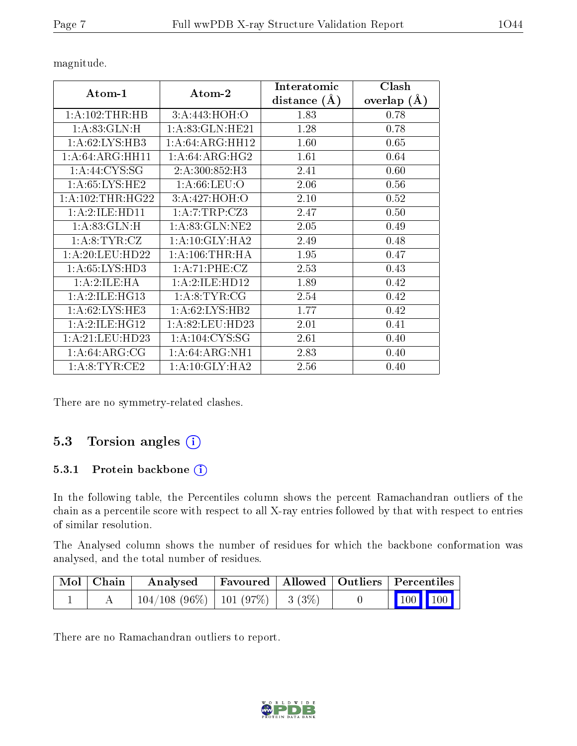| Atom-1            | Atom-2             | Interatomic    | Clash              |
|-------------------|--------------------|----------------|--------------------|
|                   |                    | distance $(A)$ | $(\AA)$<br>overlap |
| 1: A:102:THR:HB   | 3:A:443:HOH:O      | 1.83           | 0.78               |
| 1: A:83: GLN:H    | 1: A:83: GLN: HE21 | 1.28           | 0.78               |
| 1: A:62:LYS:HB3   | 1:A:64:ARG:HH12    | 1.60           | 0.65               |
| 1:A:64:ARG:HH11   | 1: A:64: ARG: HG2  | 1.61           | 0.64               |
| 1: A:44: CYS:SG   | 2:A:300:852:H3     | 2.41           | 0.60               |
| 1: A:65:LYS:HE2   | 1: A:66:LEU:O      | 2.06           | 0.56               |
| 1: A:102:THR:HG22 | 3:A:427:HOH:O      | 2.10           | 0.52               |
| 1: A:2: ILE: HD11 | 1:A:7:TRP:CZ3      | 2.47           | 0.50               |
| 1: A:83: GLN:H    | 1: A:83: GLN:NE2   | 2.05           | 0.49               |
| 1: A:8: TYR: CZ   | 1:A:10:GLY:HA2     | 2.49           | 0.48               |
| 1: A:20:LEU:HD22  | 1: A:106:THR:HA    | 1.95           | 0.47               |
| 1: A:65: LYS:HD3  | 1:A:71:PHE:CZ      | 2.53           | 0.43               |
| 1:A:2:ILE:HA      | 1:A:2:ILE:HD12     | 1.89           | 0.42               |
| 1:A:2:ILE:HG13    | 1: A:8: TYR: CG    | 2.54           | 0.42               |
| 1: A:62:LYS:HE3   | 1: A:62:LYS:HB2    | 1.77           | 0.42               |
| 1:A:2:ILE:HG12    | 1: A:82:LEU:HD23   | 2.01           | 0.41               |
| 1: A:21: LEU:HD23 | 1: A: 104: CYS: SG | 2.61           | 0.40               |
| 1: A:64: ARG: CG  | 1: A:64: ARG:NH1   | 2.83           | 0.40               |
| 1: A:8: TYR: CE2  | 1:A:10:GLY:HA2     | 2.56           | 0.40               |

magnitude.

There are no symmetry-related clashes.

### 5.3 Torsion angles (i)

#### 5.3.1 Protein backbone (i)

In the following table, the Percentiles column shows the percent Ramachandran outliers of the chain as a percentile score with respect to all X-ray entries followed by that with respect to entries of similar resolution.

The Analysed column shows the number of residues for which the backbone conformation was analysed, and the total number of residues.

| $\mid$ Mol $\mid$ Chain $\mid$ | Analysed                                |  | Favoured   Allowed   Outliers   Percentiles                                        |  |
|--------------------------------|-----------------------------------------|--|------------------------------------------------------------------------------------|--|
|                                | $104/108$ (96\%)   101 (97\%)   3 (3\%) |  | $\begin{array}{ c c c c c }\n\hline\n\multicolumn{1}{ c }{100} & 100\n\end{array}$ |  |

There are no Ramachandran outliers to report.

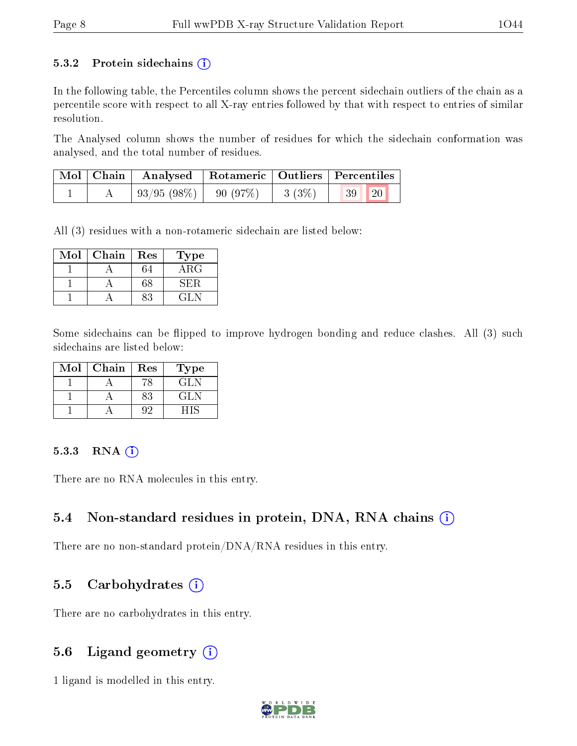#### 5.3.2 Protein sidechains  $(i)$

In the following table, the Percentiles column shows the percent sidechain outliers of the chain as a percentile score with respect to all X-ray entries followed by that with respect to entries of similar resolution.

The Analysed column shows the number of residues for which the sidechain conformation was analysed, and the total number of residues.

| Mol   Chain | $\perp$ Analysed   Rotameric   Outliers   Percentiles |       |                 |  |
|-------------|-------------------------------------------------------|-------|-----------------|--|
|             | $93/95(98\%)$   90 (97\%)                             | 3(3%) | <b>20</b><br>39 |  |

All (3) residues with a non-rotameric sidechain are listed below:

| Mol | Chain | $\operatorname{Res}% \left( \mathcal{N}\right) \equiv\operatorname{Res}(\mathcal{N}_{0})\cap\mathcal{N}_{1}$ | Type        |
|-----|-------|--------------------------------------------------------------------------------------------------------------|-------------|
|     |       |                                                                                                              | ${\rm ARG}$ |
|     |       | 68                                                                                                           | 5H)         |
|     |       |                                                                                                              | ' 41. N     |

Some sidechains can be flipped to improve hydrogen bonding and reduce clashes. All (3) such sidechains are listed below:

| Mol | Chain | Res | Type    |
|-----|-------|-----|---------|
|     |       |     | GLN     |
|     |       | 83  | GL N    |
|     |       |     | - 1 I S |

#### $5.3.3$  RNA  $(i)$

There are no RNA molecules in this entry.

#### 5.4 Non-standard residues in protein, DNA, RNA chains (i)

There are no non-standard protein/DNA/RNA residues in this entry.

#### 5.5 Carbohydrates  $(i)$

There are no carbohydrates in this entry.

#### 5.6 Ligand geometry  $(i)$

1 ligand is modelled in this entry.

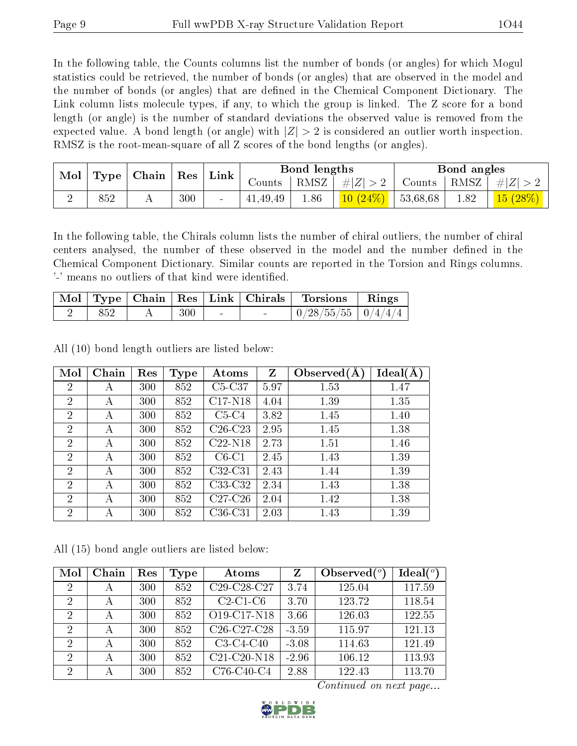In the following table, the Counts columns list the number of bonds (or angles) for which Mogul statistics could be retrieved, the number of bonds (or angles) that are observed in the model and the number of bonds (or angles) that are dened in the Chemical Component Dictionary. The Link column lists molecule types, if any, to which the group is linked. The Z score for a bond length (or angle) is the number of standard deviations the observed value is removed from the expected value. A bond length (or angle) with  $|Z| > 2$  is considered an outlier worth inspection. RMSZ is the root-mean-square of all Z scores of the bond lengths (or angles).

| Mol<br>Type |     | Chain |     |                 |          |      |        | Res      |          |   | Bond lengths |  |  | Bond angles |  |
|-------------|-----|-------|-----|-----------------|----------|------|--------|----------|----------|---|--------------|--|--|-------------|--|
|             |     |       |     | Link            | Jounts . | RMSZ | # Z    | Counts   | RMSZ     | E |              |  |  |             |  |
|             | 852 | A     | 300 | $\qquad \qquad$ | 41,49,49 | 1.86 | $10\,$ | 53,68,68 | $1.82\,$ |   |              |  |  |             |  |

In the following table, the Chirals column lists the number of chiral outliers, the number of chiral centers analysed, the number of these observed in the model and the number defined in the Chemical Component Dictionary. Similar counts are reported in the Torsion and Rings columns. '-' means no outliers of that kind were identified.

|     |     |        | Mol   Type   Chain   Res   Link   Chirals   Torsions   Rings |  |
|-----|-----|--------|--------------------------------------------------------------|--|
| 852 | 300 | $\sim$ | $\mid 0/28/55/55 \mid 0/4/4/4 \mid$                          |  |

All (10) bond length outliers are listed below:

| Mol            | Chain | Res | Type | Atoms     | Z    | Observed $(A)$ | Ideal(A) |
|----------------|-------|-----|------|-----------|------|----------------|----------|
| $\overline{2}$ | А     | 300 | 852  | $C5-C37$  | 5.97 | 1.53           | 1.47     |
| $\overline{2}$ | А     | 300 | 852  | $C17-N18$ | 4.04 | 1.39           | 1.35     |
| $\overline{2}$ | А     | 300 | 852  | $C5-C4$   | 3.82 | 1.45           | 1.40     |
| $\overline{2}$ | А     | 300 | 852  | $C26-C23$ | 2.95 | 1.45           | 1.38     |
| $\overline{2}$ | А     | 300 | 852  | $C22-N18$ | 2.73 | 1.51           | 1.46     |
| $\overline{2}$ | А     | 300 | 852  | $C6-C1$   | 2.45 | 1.43           | 1.39     |
| $\overline{2}$ | А     | 300 | 852  | $C32-C31$ | 2.43 | 1.44           | 1.39     |
| $\overline{2}$ | А     | 300 | 852  | C33-C32   | 2.34 | 1.43           | 1.38     |
| $\overline{2}$ | А     | 300 | 852  | $C27-C26$ | 2.04 | 1.42           | 1.38     |
| $\overline{2}$ | А     | 300 | 852  | $C36-C31$ | 2.03 | 1.43           | 1.39     |

All (15) bond angle outliers are listed below:

| Mol            | Chain | Res | Type | Atoms                                             | Ζ       | Observed $(°)$ | Ideal $(°)$ |
|----------------|-------|-----|------|---------------------------------------------------|---------|----------------|-------------|
| $\overline{2}$ | А     | 300 | 852  | C29-C28-C27                                       | 3.74    | 125.04         | 117.59      |
| $\overline{2}$ | А     | 300 | 852  | $C2-C1-C6$                                        | 3.70    | 123.72         | 118.54      |
| $\overline{2}$ | А     | 300 | 852  | O <sub>19</sub> -C <sub>17</sub> -N <sub>18</sub> | 3.66    | 126.03         | 122.55      |
| $\overline{2}$ | А     | 300 | 852  | C <sub>26</sub> -C <sub>27</sub> -C <sub>28</sub> | $-3.59$ | 115.97         | 121.13      |
| $\overline{2}$ | А     | 300 | 852  | $C3-C4-C40$                                       | $-3.08$ | 114.63         | 121.49      |
| $\overline{2}$ | А     | 300 | 852  | $C21-C20-N18$                                     | $-2.96$ | 106.12         | 113.93      |
| $\overline{2}$ | А     | 300 | 852  | C76-C40-C4                                        | 2.88    | 122.43         | 113.70      |

Continued on next page...

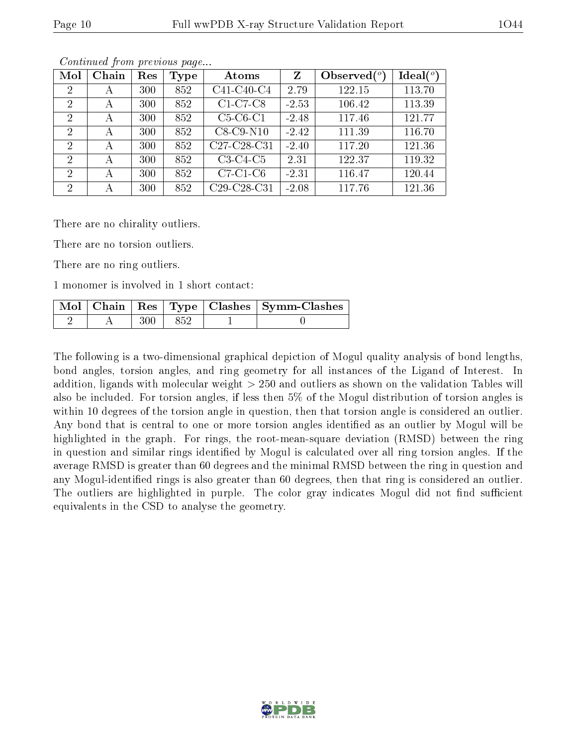| Mol                         | Chain | Res | Type | Atoms                                             | Z       | Observed $(°)$ | Ideal $(^\circ)$ |
|-----------------------------|-------|-----|------|---------------------------------------------------|---------|----------------|------------------|
| $\overline{2}$              | А     | 300 | 852  | C41-C40-C4                                        | 2.79    | 122.15         | 113.70           |
| 2                           | А     | 300 | 852  | $C1-C7-C8$                                        | $-2.53$ | 106.42         | 113.39           |
| 2                           | А     | 300 | 852  | $C5-C6-C1$                                        | $-2.48$ | 117.46         | 121.77           |
| $\overline{2}$              | А     | 300 | 852  | $C8-C9-N10$                                       | $-2.42$ | 111.39         | 116.70           |
| $\mathcal{D}_{\mathcal{L}}$ | А     | 300 | 852  | C27-C28-C31                                       | $-2.40$ | 117.20         | 121.36           |
| $\overline{2}$              | А     | 300 | 852  | $C3-C4-C5$                                        | 2.31    | 122.37         | 119.32           |
| $\overline{2}$              | А     | 300 | 852  | $C7-C1-C6$                                        | $-2.31$ | 116.47         | 120.44           |
| 2                           | А     | 300 | 852  | C <sub>29</sub> -C <sub>28</sub> -C <sub>31</sub> | $-2.08$ | 117.76         | 121.36           |

Continued from previous page...

There are no chirality outliers.

There are no torsion outliers.

There are no ring outliers.

1 monomer is involved in 1 short contact:

|  |     |       | Mol   Chain   Res   Type   Clashes   Symm-Clashes |
|--|-----|-------|---------------------------------------------------|
|  | 300 | - 852 |                                                   |

The following is a two-dimensional graphical depiction of Mogul quality analysis of bond lengths, bond angles, torsion angles, and ring geometry for all instances of the Ligand of Interest. In addition, ligands with molecular weight > 250 and outliers as shown on the validation Tables will also be included. For torsion angles, if less then 5% of the Mogul distribution of torsion angles is within 10 degrees of the torsion angle in question, then that torsion angle is considered an outlier. Any bond that is central to one or more torsion angles identified as an outlier by Mogul will be highlighted in the graph. For rings, the root-mean-square deviation (RMSD) between the ring in question and similar rings identified by Mogul is calculated over all ring torsion angles. If the average RMSD is greater than 60 degrees and the minimal RMSD between the ring in question and any Mogul-identified rings is also greater than 60 degrees, then that ring is considered an outlier. The outliers are highlighted in purple. The color gray indicates Mogul did not find sufficient equivalents in the CSD to analyse the geometry.

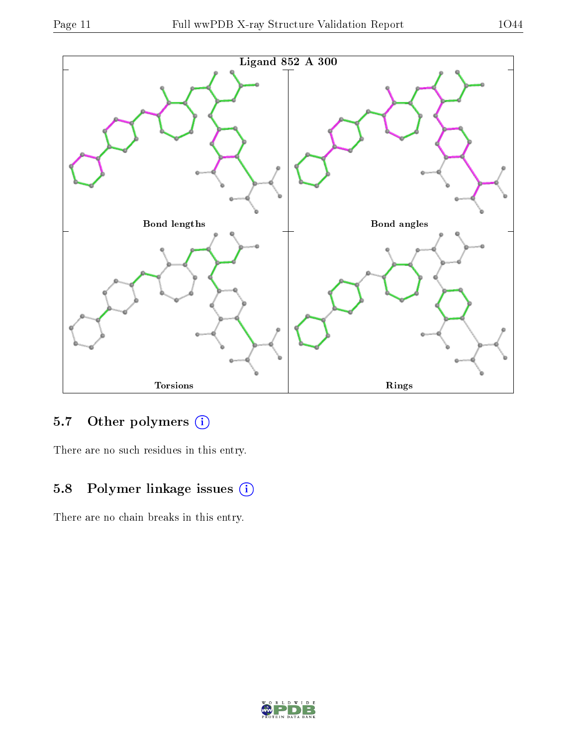

## 5.7 [O](https://www.wwpdb.org/validation/2017/XrayValidationReportHelp#nonstandard_residues_and_ligands)ther polymers (i)

There are no such residues in this entry.

## 5.8 Polymer linkage issues (i)

There are no chain breaks in this entry.